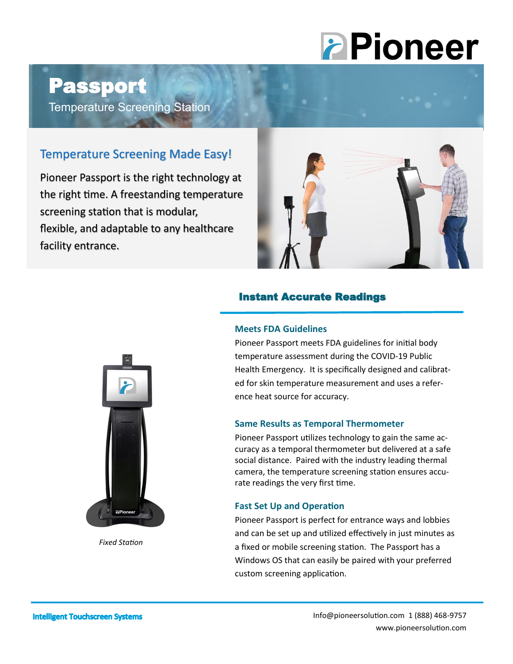# **PPioneer**

## Passport

Temperature Screening Station

### Temperature Screening Made Easy!

Pioneer Passport is the right technology at the right time. A freestanding temperature screening station that is modular, flexible, and adaptable to any healthcare facility entrance.



#### Instant Accurate Readings

#### **Meets FDA Guidelines**

Pioneer Passport meets FDA guidelines for initial body temperature assessment during the COVID-19 Public Health Emergency. It is specifically designed and calibrated for skin temperature measurement and uses a reference heat source for accuracy.

#### **Same Results as Temporal Thermometer**

Pioneer Passport utilizes technology to gain the same accuracy as a temporal thermometer but delivered at a safe social distance. Paired with the industry leading thermal camera, the temperature screening station ensures accurate readings the very first time.

#### **Fast Set Up and Operation**

Pioneer Passport is perfect for entrance ways and lobbies and can be set up and utilized effectively in just minutes as a fixed or mobile screening station. The Passport has a Windows OS that can easily be paired with your preferred custom screening application.



*Fixed Station*